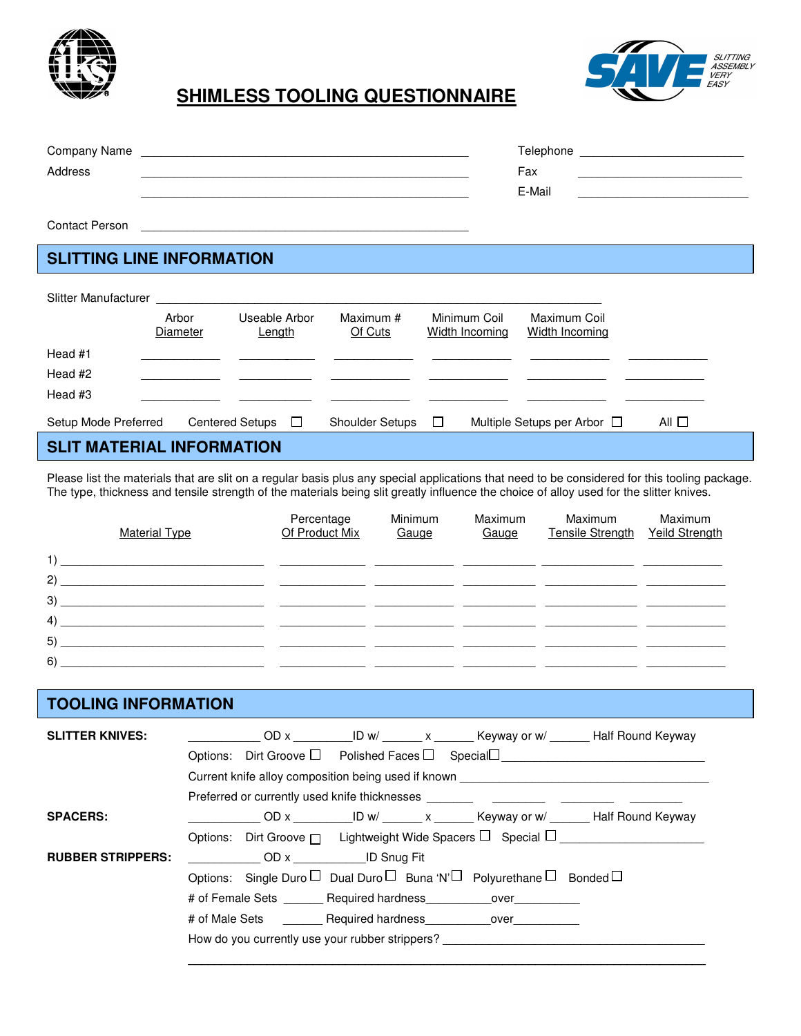

### SLITTING<br>ASSEMBLY VER) **SHIMLESS TOOLING QUESTIONNAIRE**

| Company Name | Telephone |  |
|--------------|-----------|--|
| Address      | Fax       |  |
|              | E-Mail    |  |
|              |           |  |

Contact Person

# **SLITTING LINE INFORMATION**

| Slitter Manufacturer |                                  |                                        |                        |                                |                                       |            |  |
|----------------------|----------------------------------|----------------------------------------|------------------------|--------------------------------|---------------------------------------|------------|--|
|                      | Arbor<br>Diameter                | Useable Arbor<br>Length                | Maximum #<br>Of Cuts   | Minimum Coil<br>Width Incoming | Maximum Coil<br><b>Width Incoming</b> |            |  |
| Head #1              |                                  |                                        |                        |                                |                                       |            |  |
| Head #2              |                                  |                                        |                        |                                |                                       |            |  |
| Head #3              |                                  |                                        |                        |                                |                                       |            |  |
| Setup Mode Preferred |                                  | <b>Centered Setups</b><br>$\mathbf{I}$ | <b>Shoulder Setups</b> | $\Box$                         | Multiple Setups per Arbor $\Box$      | All $\Box$ |  |
|                      | <b>SLIT MATERIAL INFORMATION</b> |                                        |                        |                                |                                       |            |  |

Please list the materials that are slit on a regular basis plus any special applications that need to be considered for this tooling package. The type, thickness and tensile strength of the materials being slit greatly influence the choice of alloy used for the slitter knives.

|    | <b>Material Type</b> | Percentage<br>Of Product Mix | Minimum<br>Gauge | Maximum<br>Gauge | Maximum<br>Tensile Strength | Maximum<br>Yeild Strength |
|----|----------------------|------------------------------|------------------|------------------|-----------------------------|---------------------------|
| 1) |                      |                              |                  |                  |                             |                           |
| 2) |                      |                              |                  |                  |                             |                           |
| 3) |                      |                              |                  |                  |                             |                           |
| 4) |                      |                              |                  |                  |                             |                           |
| 5) |                      |                              |                  |                  |                             |                           |
| 6) |                      |                              |                  |                  |                             |                           |

### **TOOLING INFORMATION**

| <b>SLITTER KNIVES:</b>   |                                                     |                                |  |  |                                                                                                | OD x ID w/ x Keyway or w/ Half Round Keyway                                |
|--------------------------|-----------------------------------------------------|--------------------------------|--|--|------------------------------------------------------------------------------------------------|----------------------------------------------------------------------------|
|                          |                                                     |                                |  |  |                                                                                                | Options: Dirt Groove $\square$ Polished Faces $\square$ Special $\square$  |
|                          | Current knife alloy composition being used if known |                                |  |  |                                                                                                |                                                                            |
|                          |                                                     |                                |  |  | Preferred or currently used knife thicknesses                                                  |                                                                            |
| <b>SPACERS:</b>          |                                                     |                                |  |  |                                                                                                |                                                                            |
|                          |                                                     |                                |  |  |                                                                                                | Options: Dirt Groove $\Box$ Lightweight Wide Spacers $\Box$ Special $\Box$ |
| <b>RUBBER STRIPPERS:</b> |                                                     | <b>OD</b> x <b>ID</b> Snug Fit |  |  |                                                                                                |                                                                            |
|                          |                                                     |                                |  |  | Options: Single Duro $\Box$ Dual Duro $\Box$ Buna 'N' $\Box$ Polyurethane $\Box$ Bonded $\Box$ |                                                                            |
|                          |                                                     |                                |  |  | # of Female Sets Required hardness over                                                        |                                                                            |
|                          |                                                     |                                |  |  | # of Male Sets <b>Required hardness</b> over                                                   |                                                                            |
|                          |                                                     |                                |  |  | How do you currently use your rubber strippers?                                                |                                                                            |
|                          |                                                     |                                |  |  |                                                                                                |                                                                            |